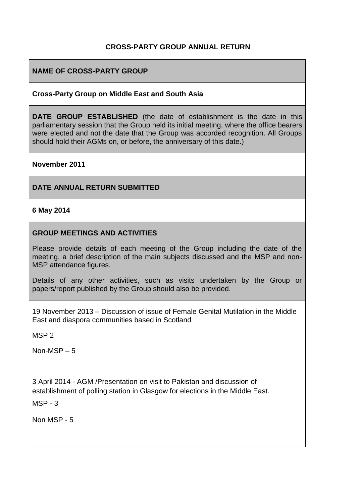## **CROSS-PARTY GROUP ANNUAL RETURN**

## **NAME OF CROSS-PARTY GROUP**

#### **Cross-Party Group on Middle East and South Asia**

**DATE GROUP ESTABLISHED** (the date of establishment is the date in this parliamentary session that the Group held its initial meeting, where the office bearers were elected and not the date that the Group was accorded recognition. All Groups should hold their AGMs on, or before, the anniversary of this date.)

#### **November 2011**

#### **DATE ANNUAL RETURN SUBMITTED**

#### **6 May 2014**

### **GROUP MEETINGS AND ACTIVITIES**

Please provide details of each meeting of the Group including the date of the meeting, a brief description of the main subjects discussed and the MSP and non-MSP attendance figures.

Details of any other activities, such as visits undertaken by the Group or papers/report published by the Group should also be provided.

19 November 2013 – Discussion of issue of Female Genital Mutilation in the Middle East and diaspora communities based in Scotland

MSP 2

Non-MSP – 5

3 April 2014 - AGM /Presentation on visit to Pakistan and discussion of establishment of polling station in Glasgow for elections in the Middle East.

MSP - 3

Non MSP - 5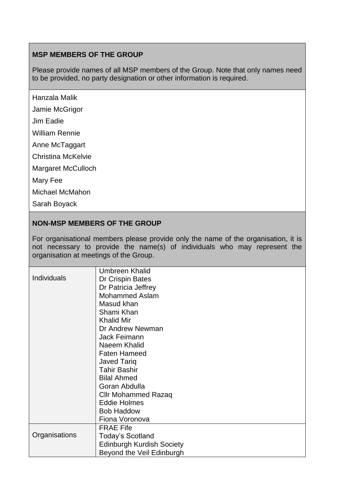## **MSP MEMBERS OF THE GROUP**

Please provide names of all MSP members of the Group. Note that only names need to be provided, no party designation or other information is required.

Hanzala Malik

Jamie McGrigor

Jim Eadie

William Rennie

Anne McTaggart

Christina McKelvie

Margaret McCulloch

Mary Fee

Michael McMahon

Sarah Boyack

### **NON-MSP MEMBERS OF THE GROUP**

For organisational members please provide only the name of the organisation, it is not necessary to provide the name(s) of individuals who may represent the organisation at meetings of the Group.

| <b>Individuals</b> | Umbreen Khalid<br>Dr Crispin Bates<br>Dr Patricia Jeffrey<br><b>Mohammed Aslam</b><br>Masud khan<br>Shami Khan<br><b>Khalid Mir</b><br>Dr Andrew Newman<br>Jack Feimann<br>Naeem Khalid<br><b>Faten Hameed</b><br><b>Javed Tariq</b><br><b>Tahir Bashir</b><br><b>Bilal Ahmed</b><br>Goran Abdulla<br><b>Cllr Mohammed Razaq</b> |
|--------------------|----------------------------------------------------------------------------------------------------------------------------------------------------------------------------------------------------------------------------------------------------------------------------------------------------------------------------------|
|                    |                                                                                                                                                                                                                                                                                                                                  |
|                    | <b>Eddie Holmes</b>                                                                                                                                                                                                                                                                                                              |
|                    | <b>Bob Haddow</b><br>Fiona Voronova                                                                                                                                                                                                                                                                                              |
|                    | <b>FRAE Fife</b>                                                                                                                                                                                                                                                                                                                 |
| Organisations      | <b>Today's Scotland</b>                                                                                                                                                                                                                                                                                                          |
|                    | <b>Edinburgh Kurdish Society</b>                                                                                                                                                                                                                                                                                                 |
|                    | Beyond the Veil Edinburgh                                                                                                                                                                                                                                                                                                        |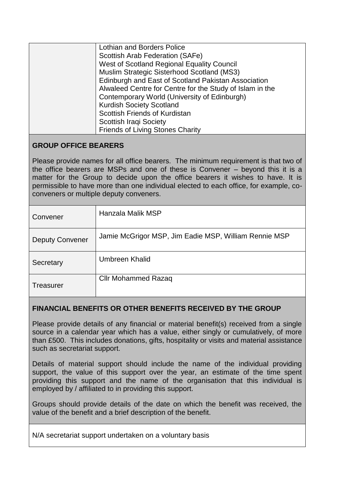| Lothian and Borders Police                               |
|----------------------------------------------------------|
| Scottish Arab Federation (SAFe)                          |
| West of Scotland Regional Equality Council               |
| Muslim Strategic Sisterhood Scotland (MS3)               |
| Edinburgh and East of Scotland Pakistan Association      |
| Alwaleed Centre for Centre for the Study of Islam in the |
| Contemporary World (University of Edinburgh)             |
| <b>Kurdish Society Scotland</b>                          |
| Scottish Friends of Kurdistan                            |
| <b>Scottish Iraqi Society</b>                            |
| <b>Friends of Living Stones Charity</b>                  |

## **GROUP OFFICE BEARERS**

Please provide names for all office bearers. The minimum requirement is that two of the office bearers are MSPs and one of these is Convener – beyond this it is a matter for the Group to decide upon the office bearers it wishes to have. It is permissible to have more than one individual elected to each office, for example, coconveners or multiple deputy conveners.

| Convener               | Hanzala Malik MSP                                     |
|------------------------|-------------------------------------------------------|
| <b>Deputy Convener</b> | Jamie McGrigor MSP, Jim Eadie MSP, William Rennie MSP |
| Secretary              | Umbreen Khalid                                        |
| <b>Treasurer</b>       | <b>Cllr Mohammed Razaq</b>                            |

## **FINANCIAL BENEFITS OR OTHER BENEFITS RECEIVED BY THE GROUP**

Please provide details of any financial or material benefit(s) received from a single source in a calendar year which has a value, either singly or cumulatively, of more than £500. This includes donations, gifts, hospitality or visits and material assistance such as secretariat support.

Details of material support should include the name of the individual providing support, the value of this support over the year, an estimate of the time spent providing this support and the name of the organisation that this individual is employed by / affiliated to in providing this support.

Groups should provide details of the date on which the benefit was received, the value of the benefit and a brief description of the benefit.

N/A secretariat support undertaken on a voluntary basis